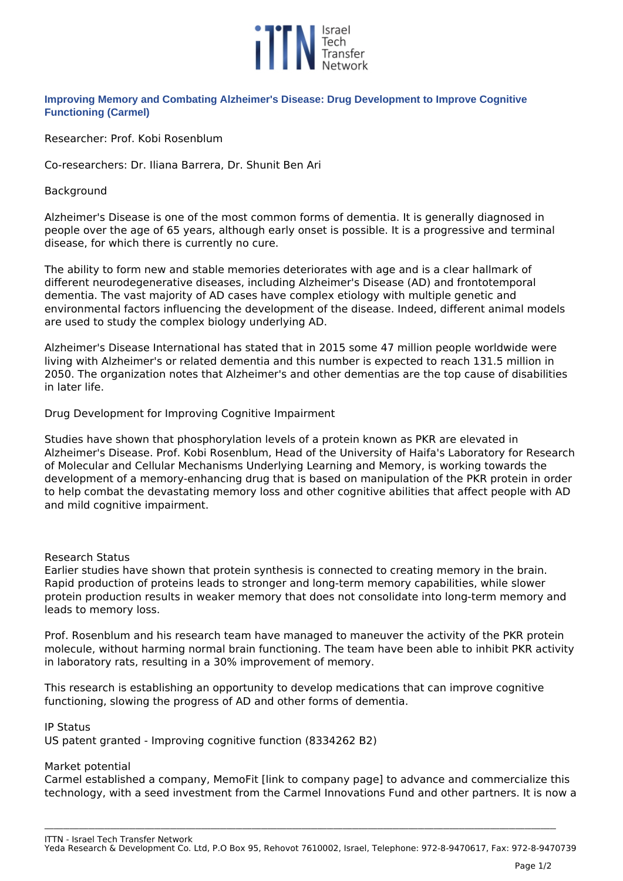

# **Improving Memory and Combating Alzheimer's Disease: Drug Development to Improve Cognitive Functioning (Carmel)**

*Researcher: Prof. Kobi Rosenblum* 

*Co-researchers: Dr. Iliana Barrera, Dr. Shunit Ben Ari*

### *Background*

*Alzheimer's Disease is one of the most common forms of dementia. It is generally diagnosed in people over the age of 65 years, although early onset is possible. It is a progressive and terminal disease, for which there is currently no cure.*

*The ability to form new and stable memories deteriorates with age and is a clear hallmark of different neurodegenerative diseases, including Alzheimer's Disease (AD) and frontotemporal dementia. The vast majority of AD cases have complex etiology with multiple genetic and environmental factors influencing the development of the disease. Indeed, different animal models are used to study the complex biology underlying AD.*

*Alzheimer's Disease International has stated that in 2015 some 47 million people worldwide were living with Alzheimer's or related dementia and this number is expected to reach 131.5 million in 2050. The organization notes that Alzheimer's and other dementias are the top cause of disabilities in later life.*

## *Drug Development for Improving Cognitive Impairment*

*Studies have shown that phosphorylation levels of a protein known as PKR are elevated in Alzheimer's Disease. Prof. Kobi Rosenblum, Head of the University of Haifa's Laboratory for Research of Molecular and Cellular Mechanisms Underlying Learning and Memory, is working towards the development of a memory-enhancing drug that is based on manipulation of the PKR protein in order to help combat the devastating memory loss and other cognitive abilities that affect people with AD and mild cognitive impairment.*

#### *Research Status*

*Earlier studies have shown that protein synthesis is connected to creating memory in the brain. Rapid production of proteins leads to stronger and long-term memory capabilities, while slower protein production results in weaker memory that does not consolidate into long-term memory and leads to memory loss.*

*Prof. Rosenblum and his research team have managed to maneuver the activity of the PKR protein molecule, without harming normal brain functioning. The team have been able to inhibit PKR activity in laboratory rats, resulting in a 30% improvement of memory.*

*This research is establishing an opportunity to develop medications that can improve cognitive functioning, slowing the progress of AD and other forms of dementia.*

#### *IP Status*

*US patent granted - Improving cognitive function (8334262 B2)*

#### *Market potential*

*Carmel established a company, MemoFit [link to company page] to advance and commercialize this technology, with a seed investment from the Carmel Innovations Fund and other partners. It is now a*

*ITTN - Israel Tech Transfer Network Yeda Research & Development Co. Ltd, P.O Box 95, Rehovot 7610002, Israel, Telephone: 972-8-9470617, Fax: 972-8-9470739*

**\_\_\_\_\_\_\_\_\_\_\_\_\_\_\_\_\_\_\_\_\_\_\_\_\_\_\_\_\_\_\_\_\_\_\_\_\_\_\_\_\_\_\_\_\_\_\_\_\_\_\_\_\_\_\_\_\_\_\_\_\_\_\_\_\_\_\_\_\_\_\_\_\_\_\_\_\_\_\_\_\_\_\_\_\_\_\_\_\_\_\_\_\_\_\_\_\_\_\_\_\_\_\_\_\_\_\_\_\_\_\_\_\_\_\_\_\_\_\_\_\_\_\_\_\_\_\_\_\_\_\_\_\_\_\_\_\_\_\_\_\_\_\_\_\_\_\_\_\_\_\_\_\_\_\_\_\_\_\_\_\_\_\_**